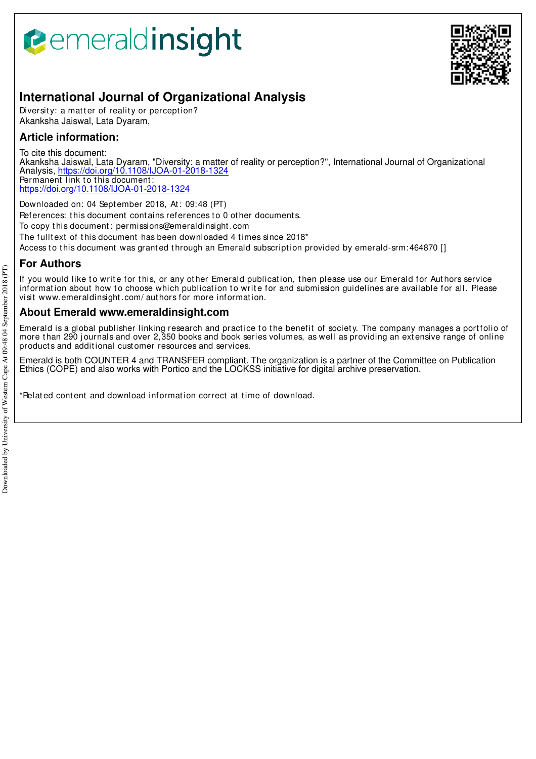# **B**emeraldinsight



# **International Journal of Organizational Analysis**

Diversity: a matter of reality or perception? Akanksha Jaiswal, Lata Dyaram,

# **Article information:**

To cite this document: Akanksha Jaiswal, Lata Dyaram, "Diversity: a matter of reality or perception?", International Journal of Organizational Analysis, https://doi.org/10.1108/IJOA-01-2018-1324 Permanent link to this document: https://doi.org/10.1108/IJOA-01-2018-1324

Downloaded on: 04 Sept ember 2018, At : 09:48 (PT) References: this document contains references to 0 other documents. To copy t his document : permissions@emeraldinsight .com

The fulltext of this document has been downloaded 4 times since 2018<sup>\*</sup>

Access to this document was granted through an Emerald subscription provided by emerald-srm: 464870 []

# **For Authors**

If you would like to write for this, or any other Emerald publication, then please use our Emerald for Authors service information about how to choose which publication to write for and submission guidelines are available for all. Please visit www.emeraldinsight .com/ aut hors for more informat ion.

# **About Emerald www.emeraldinsight.com**

Emerald is a global publisher linking research and practice to the benefit of society. The company manages a portfolio of more than 290 journals and over 2,350 books and book series volumes, as well as providing an extensive range of online product s and addit ional cust omer resources and services.

Emerald is both COUNTER 4 and TRANSFER compliant. The organization is a partner of the Committee on Publication Ethics (COPE) and also works with Portico and the LOCKSS initiative for digital archive preservation.

\*Relat ed cont ent and download informat ion correct at t ime of download.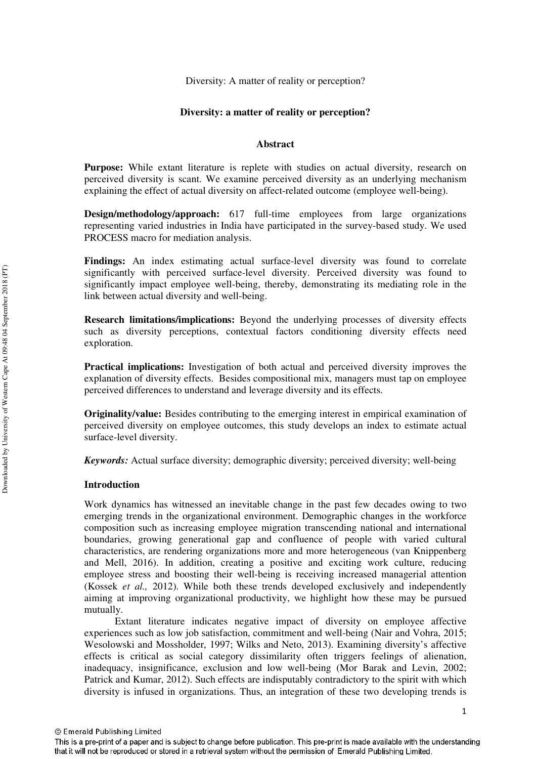# **Diversity: a matter of reality or perception?**

# **Abstract**

**Purpose:** While extant literature is replete with studies on actual diversity, research on perceived diversity is scant. We examine perceived diversity as an underlying mechanism explaining the effect of actual diversity on affect-related outcome (employee well-being).

**Design/methodology/approach:** 617 full-time employees from large organizations representing varied industries in India have participated in the survey-based study. We used PROCESS macro for mediation analysis.

**Findings:** An index estimating actual surface-level diversity was found to correlate significantly with perceived surface-level diversity. Perceived diversity was found to significantly impact employee well-being, thereby, demonstrating its mediating role in the link between actual diversity and well-being.

**Research limitations/implications:** Beyond the underlying processes of diversity effects such as diversity perceptions, contextual factors conditioning diversity effects need exploration.

**Practical implications:** Investigation of both actual and perceived diversity improves the explanation of diversity effects. Besides compositional mix, managers must tap on employee perceived differences to understand and leverage diversity and its effects.

**Originality/value:** Besides contributing to the emerging interest in empirical examination of perceived diversity on employee outcomes, this study develops an index to estimate actual surface-level diversity.

*Keywords:* Actual surface diversity; demographic diversity; perceived diversity; well-being

# **Introduction**

Work dynamics has witnessed an inevitable change in the past few decades owing to two emerging trends in the organizational environment. Demographic changes in the workforce composition such as increasing employee migration transcending national and international boundaries, growing generational gap and confluence of people with varied cultural characteristics, are rendering organizations more and more heterogeneous (van Knippenberg and Mell, 2016). In addition, creating a positive and exciting work culture, reducing employee stress and boosting their well-being is receiving increased managerial attention (Kossek *et al.,* 2012). While both these trends developed exclusively and independently aiming at improving organizational productivity, we highlight how these may be pursued mutually.

Extant literature indicates negative impact of diversity on employee affective experiences such as low job satisfaction, commitment and well-being (Nair and Vohra, 2015; Wesolowski and Mossholder, 1997; Wilks and Neto, 2013). Examining diversity's affective effects is critical as social category dissimilarity often triggers feelings of alienation, inadequacy, insignificance, exclusion and low well-being (Mor Barak and Levin, 2002; Patrick and Kumar, 2012). Such effects are indisputably contradictory to the spirit with which diversity is infused in organizations. Thus, an integration of these two developing trends is

© Emerald Publishing Limited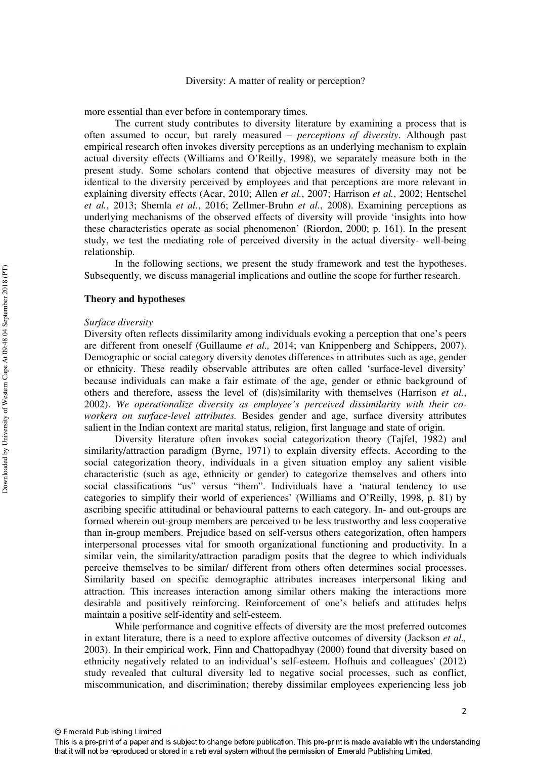more essential than ever before in contemporary times.

The current study contributes to diversity literature by examining a process that is often assumed to occur, but rarely measured – *perceptions of diversity*. Although past empirical research often invokes diversity perceptions as an underlying mechanism to explain actual diversity effects (Williams and O'Reilly, 1998), we separately measure both in the present study. Some scholars contend that objective measures of diversity may not be identical to the diversity perceived by employees and that perceptions are more relevant in explaining diversity effects (Acar, 2010; Allen *et al.*, 2007; Harrison *et al.*, 2002; Hentschel *et al.*, 2013; Shemla *et al.*, 2016; Zellmer-Bruhn *et al.*, 2008). Examining perceptions as underlying mechanisms of the observed effects of diversity will provide 'insights into how these characteristics operate as social phenomenon' (Riordon, 2000; p. 161). In the present study, we test the mediating role of perceived diversity in the actual diversity- well-being relationship.

In the following sections, we present the study framework and test the hypotheses. Subsequently, we discuss managerial implications and outline the scope for further research.

# **Theory and hypotheses**

#### *Surface diversity*

Diversity often reflects dissimilarity among individuals evoking a perception that one's peers are different from oneself (Guillaume *et al.,* 2014; van Knippenberg and Schippers, 2007). Demographic or social category diversity denotes differences in attributes such as age, gender or ethnicity. These readily observable attributes are often called 'surface-level diversity' because individuals can make a fair estimate of the age, gender or ethnic background of others and therefore, assess the level of (dis)similarity with themselves (Harrison *et al.*, 2002). *We operationalize diversity as employee's perceived dissimilarity with their coworkers on surface-level attributes.* Besides gender and age, surface diversity attributes salient in the Indian context are marital status, religion, first language and state of origin.

Diversity literature often invokes social categorization theory (Tajfel, 1982) and similarity/attraction paradigm (Byrne, 1971) to explain diversity effects. According to the social categorization theory, individuals in a given situation employ any salient visible characteristic (such as age, ethnicity or gender) to categorize themselves and others into social classifications "us" versus "them". Individuals have a 'natural tendency to use categories to simplify their world of experiences' (Williams and O'Reilly, 1998, p. 81) by ascribing specific attitudinal or behavioural patterns to each category. In- and out-groups are formed wherein out-group members are perceived to be less trustworthy and less cooperative than in-group members. Prejudice based on self-versus others categorization, often hampers interpersonal processes vital for smooth organizational functioning and productivity. In a similar vein, the similarity/attraction paradigm posits that the degree to which individuals perceive themselves to be similar/ different from others often determines social processes. Similarity based on specific demographic attributes increases interpersonal liking and attraction. This increases interaction among similar others making the interactions more desirable and positively reinforcing. Reinforcement of one's beliefs and attitudes helps maintain a positive self-identity and self-esteem.

While performance and cognitive effects of diversity are the most preferred outcomes in extant literature, there is a need to explore affective outcomes of diversity (Jackson *et al.,* 2003). In their empirical work, Finn and Chattopadhyay (2000) found that diversity based on ethnicity negatively related to an individual's self-esteem. Hofhuis and colleagues' (2012) study revealed that cultural diversity led to negative social processes, such as conflict, miscommunication, and discrimination; thereby dissimilar employees experiencing less job

This is a pre-print of a paper and is subject to change before publication. This pre-print is made available with the understanding that it will not be reproduced or stored in a retrieval system without the permission of Emerald Publishing Limited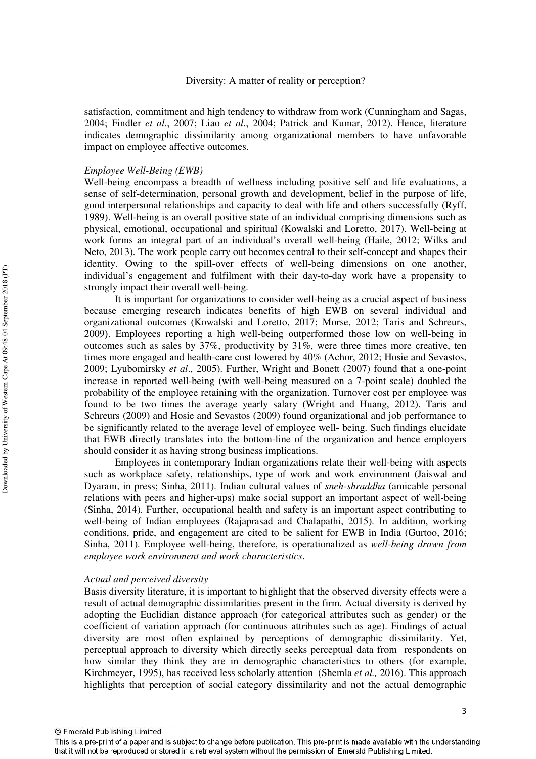satisfaction, commitment and high tendency to withdraw from work (Cunningham and Sagas, 2004; Findler *et al.*, 2007; Liao *et al*., 2004; Patrick and Kumar, 2012). Hence, literature indicates demographic dissimilarity among organizational members to have unfavorable impact on employee affective outcomes.

# *Employee Well-Being (EWB)*

Well-being encompass a breadth of wellness including positive self and life evaluations, a sense of self-determination, personal growth and development, belief in the purpose of life, good interpersonal relationships and capacity to deal with life and others successfully (Ryff, 1989). Well-being is an overall positive state of an individual comprising dimensions such as physical, emotional, occupational and spiritual (Kowalski and Loretto, 2017). Well-being at work forms an integral part of an individual's overall well-being (Haile, 2012; Wilks and Neto, 2013). The work people carry out becomes central to their self-concept and shapes their identity. Owing to the spill-over effects of well-being dimensions on one another, individual's engagement and fulfilment with their day-to-day work have a propensity to strongly impact their overall well-being.

It is important for organizations to consider well-being as a crucial aspect of business because emerging research indicates benefits of high EWB on several individual and organizational outcomes (Kowalski and Loretto, 2017; Morse, 2012; Taris and Schreurs, 2009). Employees reporting a high well-being outperformed those low on well-being in outcomes such as sales by  $37\%$ , productivity by  $31\%$ , were three times more creative, ten times more engaged and health-care cost lowered by 40% (Achor, 2012; Hosie and Sevastos, 2009; Lyubomirsky *et al*., 2005). Further, Wright and Bonett (2007) found that a one-point increase in reported well-being (with well-being measured on a 7-point scale) doubled the probability of the employee retaining with the organization. Turnover cost per employee was found to be two times the average yearly salary (Wright and Huang, 2012). Taris and Schreurs (2009) and Hosie and Sevastos (2009) found organizational and job performance to be significantly related to the average level of employee well- being. Such findings elucidate that EWB directly translates into the bottom-line of the organization and hence employers should consider it as having strong business implications.

Employees in contemporary Indian organizations relate their well-being with aspects such as workplace safety, relationships, type of work and work environment (Jaiswal and Dyaram, in press; Sinha, 2011). Indian cultural values of *sneh-shraddha* (amicable personal relations with peers and higher-ups) make social support an important aspect of well-being (Sinha, 2014). Further, occupational health and safety is an important aspect contributing to well-being of Indian employees (Rajaprasad and Chalapathi, 2015). In addition, working conditions, pride, and engagement are cited to be salient for EWB in India (Gurtoo, 2016; Sinha, 2011). Employee well-being, therefore, is operationalized as *well-being drawn from employee work environment and work characteristics*.

# *Actual and perceived diversity*

Basis diversity literature, it is important to highlight that the observed diversity effects were a result of actual demographic dissimilarities present in the firm. Actual diversity is derived by adopting the Euclidian distance approach (for categorical attributes such as gender) or the coefficient of variation approach (for continuous attributes such as age). Findings of actual diversity are most often explained by perceptions of demographic dissimilarity. Yet, perceptual approach to diversity which directly seeks perceptual data from respondents on how similar they think they are in demographic characteristics to others (for example, Kirchmeyer, 1995), has received less scholarly attention (Shemla *et al.,* 2016). This approach highlights that perception of social category dissimilarity and not the actual demographic

© Emerald Publishing Limited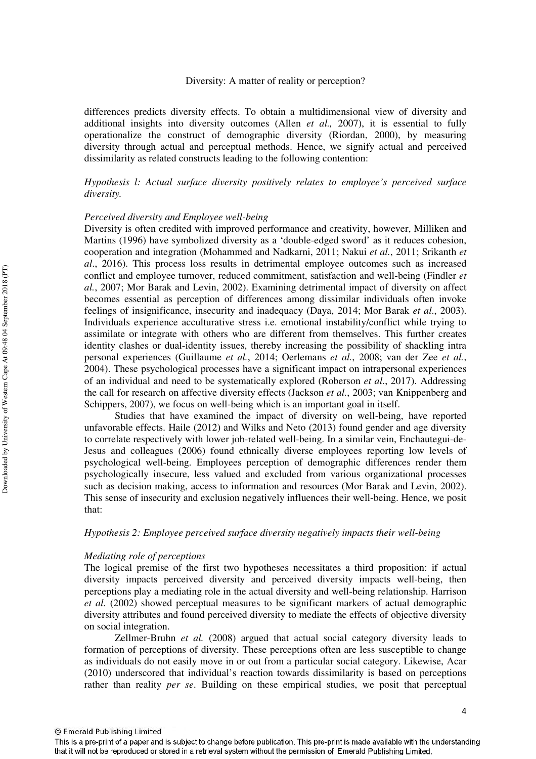differences predicts diversity effects. To obtain a multidimensional view of diversity and additional insights into diversity outcomes (Allen *et al.,* 2007), it is essential to fully operationalize the construct of demographic diversity (Riordan, 2000), by measuring diversity through actual and perceptual methods. Hence, we signify actual and perceived dissimilarity as related constructs leading to the following contention:

*Hypothesis l: Actual surface diversity positively relates to employee's perceived surface diversity.* 

#### *Perceived diversity and Employee well-being*

Diversity is often credited with improved performance and creativity, however, Milliken and Martins (1996) have symbolized diversity as a 'double-edged sword' as it reduces cohesion, cooperation and integration (Mohammed and Nadkarni, 2011; Nakui *et al.*, 2011; Srikanth *et al*., 2016). This process loss results in detrimental employee outcomes such as increased conflict and employee turnover, reduced commitment, satisfaction and well-being (Findler *et al.*, 2007; Mor Barak and Levin, 2002). Examining detrimental impact of diversity on affect becomes essential as perception of differences among dissimilar individuals often invoke feelings of insignificance, insecurity and inadequacy (Daya, 2014; Mor Barak *et al*., 2003). Individuals experience acculturative stress i.e. emotional instability/conflict while trying to assimilate or integrate with others who are different from themselves. This further creates identity clashes or dual-identity issues, thereby increasing the possibility of shackling intra personal experiences (Guillaume *et al.*, 2014; Oerlemans *et al.*, 2008; van der Zee *et al.*, 2004). These psychological processes have a significant impact on intrapersonal experiences of an individual and need to be systematically explored (Roberson *et al*., 2017). Addressing the call for research on affective diversity effects (Jackson *et al.*, 2003; van Knippenberg and Schippers, 2007), we focus on well-being which is an important goal in itself.

Studies that have examined the impact of diversity on well-being, have reported unfavorable effects. Haile (2012) and Wilks and Neto (2013) found gender and age diversity to correlate respectively with lower job-related well-being. In a similar vein, Enchautegui-de-Jesus and colleagues (2006) found ethnically diverse employees reporting low levels of psychological well-being. Employees perception of demographic differences render them psychologically insecure, less valued and excluded from various organizational processes such as decision making, access to information and resources (Mor Barak and Levin, 2002). This sense of insecurity and exclusion negatively influences their well-being. Hence, we posit that:

## *Hypothesis 2: Employee perceived surface diversity negatively impacts their well-being*

# *Mediating role of perceptions*

The logical premise of the first two hypotheses necessitates a third proposition: if actual diversity impacts perceived diversity and perceived diversity impacts well-being, then perceptions play a mediating role in the actual diversity and well-being relationship. Harrison *et al.* (2002) showed perceptual measures to be significant markers of actual demographic diversity attributes and found perceived diversity to mediate the effects of objective diversity on social integration.

 Zellmer-Bruhn *et al.* (2008) argued that actual social category diversity leads to formation of perceptions of diversity. These perceptions often are less susceptible to change as individuals do not easily move in or out from a particular social category. Likewise, Acar (2010) underscored that individual's reaction towards dissimilarity is based on perceptions rather than reality *per se*. Building on these empirical studies, we posit that perceptual

© Emerald Publishing Limited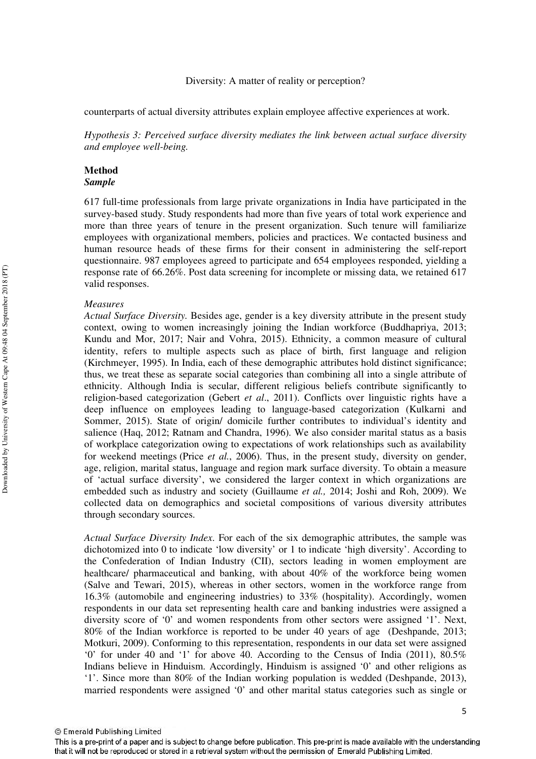counterparts of actual diversity attributes explain employee affective experiences at work.

*Hypothesis 3: Perceived surface diversity mediates the link between actual surface diversity and employee well-being.* 

# **Method**

# *Sample*

617 full-time professionals from large private organizations in India have participated in the survey-based study. Study respondents had more than five years of total work experience and more than three years of tenure in the present organization. Such tenure will familiarize employees with organizational members, policies and practices. We contacted business and human resource heads of these firms for their consent in administering the self-report questionnaire. 987 employees agreed to participate and 654 employees responded, yielding a response rate of 66.26%. Post data screening for incomplete or missing data, we retained 617 valid responses.

# *Measures*

*Actual Surface Diversity.* Besides age, gender is a key diversity attribute in the present study context, owing to women increasingly joining the Indian workforce (Buddhapriya, 2013; Kundu and Mor, 2017; Nair and Vohra, 2015). Ethnicity, a common measure of cultural identity, refers to multiple aspects such as place of birth, first language and religion (Kirchmeyer, 1995). In India, each of these demographic attributes hold distinct significance; thus, we treat these as separate social categories than combining all into a single attribute of ethnicity. Although India is secular, different religious beliefs contribute significantly to religion-based categorization (Gebert *et al*., 2011). Conflicts over linguistic rights have a deep influence on employees leading to language-based categorization (Kulkarni and Sommer, 2015). State of origin/ domicile further contributes to individual's identity and salience (Haq, 2012; Ratnam and Chandra, 1996). We also consider marital status as a basis of workplace categorization owing to expectations of work relationships such as availability for weekend meetings (Price *et al.*, 2006). Thus, in the present study, diversity on gender, age, religion, marital status, language and region mark surface diversity. To obtain a measure of 'actual surface diversity', we considered the larger context in which organizations are embedded such as industry and society (Guillaume *et al.,* 2014; Joshi and Roh, 2009). We collected data on demographics and societal compositions of various diversity attributes through secondary sources.

*Actual Surface Diversity Index*. For each of the six demographic attributes, the sample was dichotomized into 0 to indicate 'low diversity' or 1 to indicate 'high diversity'. According to the Confederation of Indian Industry (CII), sectors leading in women employment are healthcare/ pharmaceutical and banking, with about 40% of the workforce being women (Salve and Tewari, 2015), whereas in other sectors, women in the workforce range from 16.3% (automobile and engineering industries) to 33% (hospitality). Accordingly, women respondents in our data set representing health care and banking industries were assigned a diversity score of '0' and women respondents from other sectors were assigned '1'. Next, 80% of the Indian workforce is reported to be under 40 years of age (Deshpande, 2013; Motkuri, 2009). Conforming to this representation, respondents in our data set were assigned '0' for under 40 and '1' for above 40. According to the Census of India (2011), 80.5% Indians believe in Hinduism. Accordingly, Hinduism is assigned '0' and other religions as '1'. Since more than 80% of the Indian working population is wedded (Deshpande, 2013), married respondents were assigned '0' and other marital status categories such as single or

Downloaded by University of Western Cape At 09:48 04 September 2018 (PT) Downloaded by University of Western Cape At 09:48 04 September 2018 (PT)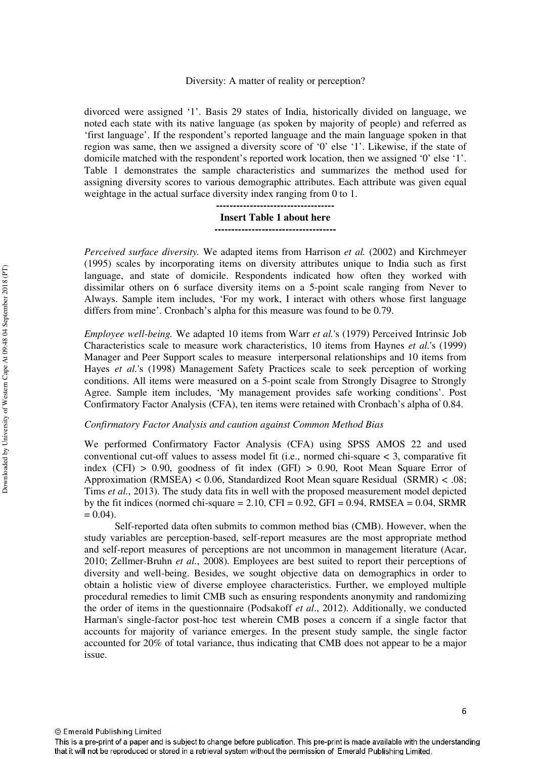divorced were assigned '1'. Basis 29 states of India, historically divided on language, we noted each state with its native language (as spoken by majority of people) and referred as 'first language'. If the respondent's reported language and the main language spoken in that region was same, then we assigned a diversity score of '0' else '1'. Likewise, if the state of domicile matched with the respondent's reported work location, then we assigned '0' else '1'. Table 1 demonstrates the sample characteristics and summarizes the method used for assigning diversity scores to various demographic attributes. Each attribute was given equal weightage in the actual surface diversity index ranging from 0 to 1.

> **Insert Table 1 about here ------------------------------------**

**-----------------------------------** 

*Perceived surface diversity.* We adapted items from Harrison *et al.* (2002) and Kirchmeyer (1995) scales by incorporating items on diversity attributes unique to India such as first language, and state of domicile. Respondents indicated how often they worked with dissimilar others on 6 surface diversity items on a 5-point scale ranging from Never to Always. Sample item includes, 'For my work, I interact with others whose first language differs from mine'. Cronbach's alpha for this measure was found to be 0.79.

*Employee well-being.* We adapted 10 items from Warr *et al.*'s (1979) Perceived Intrinsic Job Characteristics scale to measure work characteristics, 10 items from Haynes *et al.*'s (1999) Manager and Peer Support scales to measure interpersonal relationships and 10 items from Hayes *et al.*'s (1998) Management Safety Practices scale to seek perception of working conditions. All items were measured on a 5-point scale from Strongly Disagree to Strongly Agree. Sample item includes, 'My management provides safe working conditions'. Post Confirmatory Factor Analysis (CFA), ten items were retained with Cronbach's alpha of 0.84.

# *Confirmatory Factor Analysis and caution against Common Method Bias*

We performed Confirmatory Factor Analysis (CFA) using SPSS AMOS 22 and used conventional cut-off values to assess model fit (i.e., normed chi-square < 3, comparative fit index (CFI)  $> 0.90$ , goodness of fit index (GFI)  $> 0.90$ , Root Mean Square Error of Approximation (RMSEA) < 0.06, Standardized Root Mean square Residual (SRMR) < .08; Tims *et al.*, 2013). The study data fits in well with the proposed measurement model depicted by the fit indices (normed chi-square = 2.10, CFI =  $0.92$ , GFI =  $0.94$ , RMSEA =  $0.04$ , SRMR  $= 0.04$ ).

Self-reported data often submits to common method bias (CMB). However, when the study variables are perception-based, self-report measures are the most appropriate method and self-report measures of perceptions are not uncommon in management literature (Acar, 2010; Zellmer-Bruhn *et al.*, 2008). Employees are best suited to report their perceptions of diversity and well-being. Besides, we sought objective data on demographics in order to obtain a holistic view of diverse employee characteristics. Further, we employed multiple procedural remedies to limit CMB such as ensuring respondents anonymity and randomizing the order of items in the questionnaire (Podsakoff *et al*., 2012). Additionally, we conducted Harman's single-factor post-hoc test wherein CMB poses a concern if a single factor that accounts for majority of variance emerges. In the present study sample, the single factor accounted for 20% of total variance, thus indicating that CMB does not appear to be a major issue.

© Emerald Publishing Limited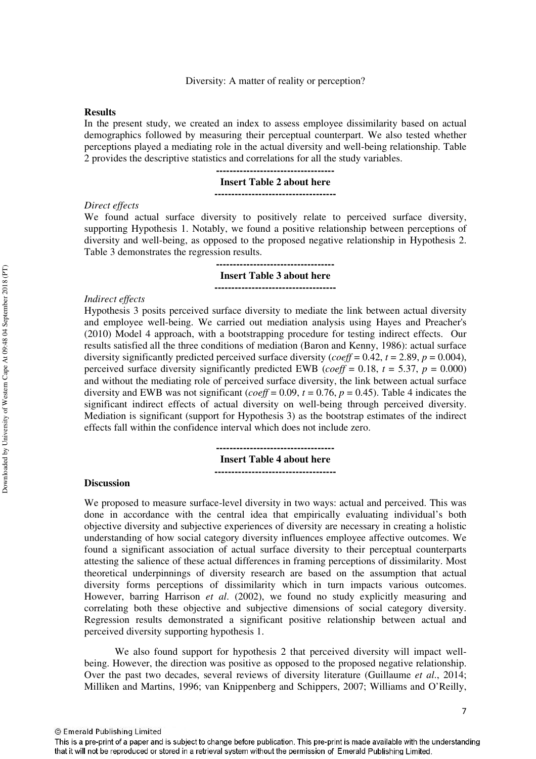# **Results**

In the present study, we created an index to assess employee dissimilarity based on actual demographics followed by measuring their perceptual counterpart. We also tested whether perceptions played a mediating role in the actual diversity and well-being relationship. Table 2 provides the descriptive statistics and correlations for all the study variables.

# **----------------------------------- Insert Table 2 about here**

**------------------------------------** 

#### *Direct effects*

We found actual surface diversity to positively relate to perceived surface diversity, supporting Hypothesis 1. Notably, we found a positive relationship between perceptions of diversity and well-being, as opposed to the proposed negative relationship in Hypothesis 2. Table 3 demonstrates the regression results.

# **-----------------------------------**

**Insert Table 3 about here** 

#### **------------------------------------**

# *Indirect effects*

Hypothesis 3 posits perceived surface diversity to mediate the link between actual diversity and employee well-being. We carried out mediation analysis using Hayes and Preacher's (2010) Model 4 approach, with a bootstrapping procedure for testing indirect effects. Our results satisfied all the three conditions of mediation (Baron and Kenny, 1986): actual surface diversity significantly predicted perceived surface diversity ( $\text{coeff} = 0.42$ ,  $t = 2.89$ ,  $p = 0.004$ ), perceived surface diversity significantly predicted EWB (*coeff* = 0.18,  $t = 5.37$ ,  $p = 0.000$ ) and without the mediating role of perceived surface diversity, the link between actual surface diversity and EWB was not significant (*coeff* = 0.09,  $t$  = 0.76,  $p$  = 0.45). Table 4 indicates the significant indirect effects of actual diversity on well-being through perceived diversity. Mediation is significant (support for Hypothesis 3) as the bootstrap estimates of the indirect effects fall within the confidence interval which does not include zero.

> **----------------------------------- Insert Table 4 about here ------------------------------------**

# **Discussion**

We proposed to measure surface-level diversity in two ways: actual and perceived. This was done in accordance with the central idea that empirically evaluating individual's both objective diversity and subjective experiences of diversity are necessary in creating a holistic understanding of how social category diversity influences employee affective outcomes. We found a significant association of actual surface diversity to their perceptual counterparts attesting the salience of these actual differences in framing perceptions of dissimilarity. Most theoretical underpinnings of diversity research are based on the assumption that actual diversity forms perceptions of dissimilarity which in turn impacts various outcomes. However, barring Harrison *et al*. (2002), we found no study explicitly measuring and correlating both these objective and subjective dimensions of social category diversity. Regression results demonstrated a significant positive relationship between actual and perceived diversity supporting hypothesis 1.

We also found support for hypothesis 2 that perceived diversity will impact wellbeing. However, the direction was positive as opposed to the proposed negative relationship. Over the past two decades, several reviews of diversity literature (Guillaume *et al*., 2014; Milliken and Martins, 1996; van Knippenberg and Schippers, 2007; Williams and O'Reilly,

This is a pre-print of a paper and is subject to change before publication. This pre-print is made available with the understanding that it will not be reproduced or stored in a retrieval system without the permission of Emerald Publishing Limited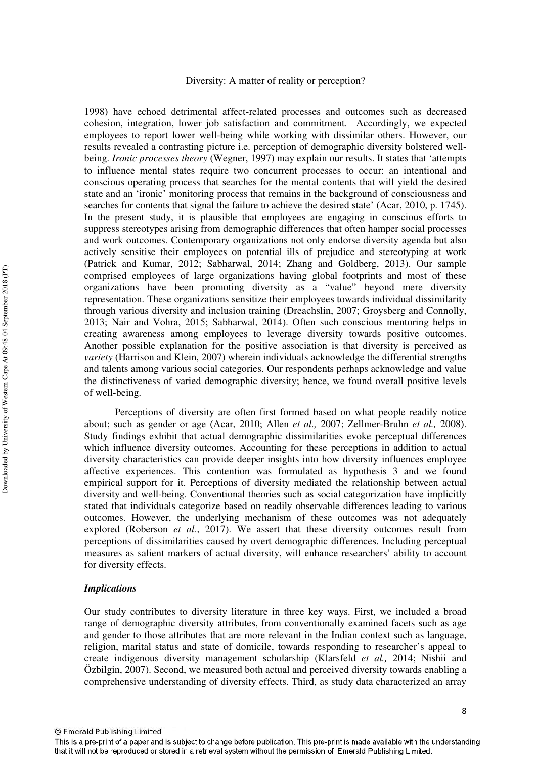1998) have echoed detrimental affect-related processes and outcomes such as decreased cohesion, integration, lower job satisfaction and commitment. Accordingly, we expected employees to report lower well-being while working with dissimilar others. However, our results revealed a contrasting picture i.e. perception of demographic diversity bolstered wellbeing. *Ironic processes theory* (Wegner, 1997) may explain our results. It states that 'attempts to influence mental states require two concurrent processes to occur: an intentional and conscious operating process that searches for the mental contents that will yield the desired state and an 'ironic' monitoring process that remains in the background of consciousness and searches for contents that signal the failure to achieve the desired state' (Acar, 2010, p. 1745). In the present study, it is plausible that employees are engaging in conscious efforts to suppress stereotypes arising from demographic differences that often hamper social processes and work outcomes. Contemporary organizations not only endorse diversity agenda but also actively sensitise their employees on potential ills of prejudice and stereotyping at work (Patrick and Kumar, 2012; Sabharwal, 2014; Zhang and Goldberg, 2013). Our sample comprised employees of large organizations having global footprints and most of these organizations have been promoting diversity as a "value" beyond mere diversity representation. These organizations sensitize their employees towards individual dissimilarity through various diversity and inclusion training (Dreachslin, 2007; Groysberg and Connolly, 2013; Nair and Vohra, 2015; Sabharwal, 2014). Often such conscious mentoring helps in creating awareness among employees to leverage diversity towards positive outcomes. Another possible explanation for the positive association is that diversity is perceived as *variety* (Harrison and Klein, 2007) wherein individuals acknowledge the differential strengths and talents among various social categories. Our respondents perhaps acknowledge and value the distinctiveness of varied demographic diversity; hence, we found overall positive levels of well-being.

Perceptions of diversity are often first formed based on what people readily notice about; such as gender or age (Acar, 2010; Allen *et al.,* 2007; Zellmer-Bruhn *et al.,* 2008). Study findings exhibit that actual demographic dissimilarities evoke perceptual differences which influence diversity outcomes. Accounting for these perceptions in addition to actual diversity characteristics can provide deeper insights into how diversity influences employee affective experiences. This contention was formulated as hypothesis 3 and we found empirical support for it. Perceptions of diversity mediated the relationship between actual diversity and well-being. Conventional theories such as social categorization have implicitly stated that individuals categorize based on readily observable differences leading to various outcomes. However, the underlying mechanism of these outcomes was not adequately explored (Roberson *et al.*, 2017). We assert that these diversity outcomes result from perceptions of dissimilarities caused by overt demographic differences. Including perceptual measures as salient markers of actual diversity, will enhance researchers' ability to account for diversity effects.

# *Implications*

Our study contributes to diversity literature in three key ways. First, we included a broad range of demographic diversity attributes, from conventionally examined facets such as age and gender to those attributes that are more relevant in the Indian context such as language, religion, marital status and state of domicile, towards responding to researcher's appeal to create indigenous diversity management scholarship (Klarsfeld *et al.,* 2014; Nishii and Özbilgin, 2007). Second, we measured both actual and perceived diversity towards enabling a comprehensive understanding of diversity effects. Third, as study data characterized an array

© Emerald Publishing Limited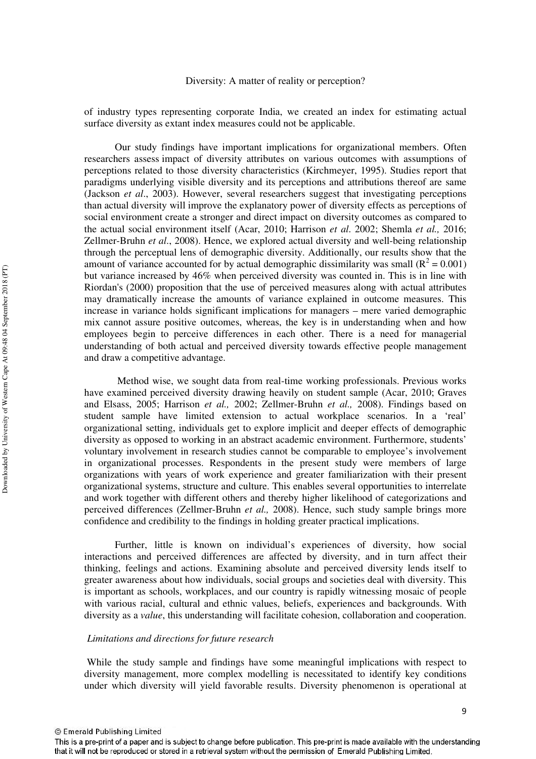of industry types representing corporate India, we created an index for estimating actual surface diversity as extant index measures could not be applicable.

Our study findings have important implications for organizational members. Often researchers assess impact of diversity attributes on various outcomes with assumptions of perceptions related to those diversity characteristics (Kirchmeyer, 1995). Studies report that paradigms underlying visible diversity and its perceptions and attributions thereof are same (Jackson *et al*., 2003). However, several researchers suggest that investigating perceptions than actual diversity will improve the explanatory power of diversity effects as perceptions of social environment create a stronger and direct impact on diversity outcomes as compared to the actual social environment itself (Acar, 2010; Harrison *et al*. 2002; Shemla *et al.,* 2016; Zellmer-Bruhn *et al*., 2008). Hence, we explored actual diversity and well-being relationship through the perceptual lens of demographic diversity. Additionally, our results show that the amount of variance accounted for by actual demographic dissimilarity was small ( $R^2 = 0.001$ ) but variance increased by 46% when perceived diversity was counted in. This is in line with Riordan's (2000) proposition that the use of perceived measures along with actual attributes may dramatically increase the amounts of variance explained in outcome measures. This increase in variance holds significant implications for managers – mere varied demographic mix cannot assure positive outcomes, whereas, the key is in understanding when and how employees begin to perceive differences in each other. There is a need for managerial understanding of both actual and perceived diversity towards effective people management and draw a competitive advantage.

 Method wise, we sought data from real-time working professionals. Previous works have examined perceived diversity drawing heavily on student sample (Acar, 2010; Graves and Elsass, 2005; Harrison *et al.,* 2002; Zellmer-Bruhn *et al.,* 2008). Findings based on student sample have limited extension to actual workplace scenarios. In a 'real' organizational setting, individuals get to explore implicit and deeper effects of demographic diversity as opposed to working in an abstract academic environment. Furthermore, students' voluntary involvement in research studies cannot be comparable to employee's involvement in organizational processes. Respondents in the present study were members of large organizations with years of work experience and greater familiarization with their present organizational systems, structure and culture. This enables several opportunities to interrelate and work together with different others and thereby higher likelihood of categorizations and perceived differences (Zellmer-Bruhn *et al.,* 2008). Hence, such study sample brings more confidence and credibility to the findings in holding greater practical implications.

 Further, little is known on individual's experiences of diversity, how social interactions and perceived differences are affected by diversity, and in turn affect their thinking, feelings and actions. Examining absolute and perceived diversity lends itself to greater awareness about how individuals, social groups and societies deal with diversity. This is important as schools, workplaces, and our country is rapidly witnessing mosaic of people with various racial, cultural and ethnic values, beliefs, experiences and backgrounds. With diversity as a *value*, this understanding will facilitate cohesion, collaboration and cooperation.

# *Limitations and directions for future research*

While the study sample and findings have some meaningful implications with respect to diversity management, more complex modelling is necessitated to identify key conditions under which diversity will yield favorable results. Diversity phenomenon is operational at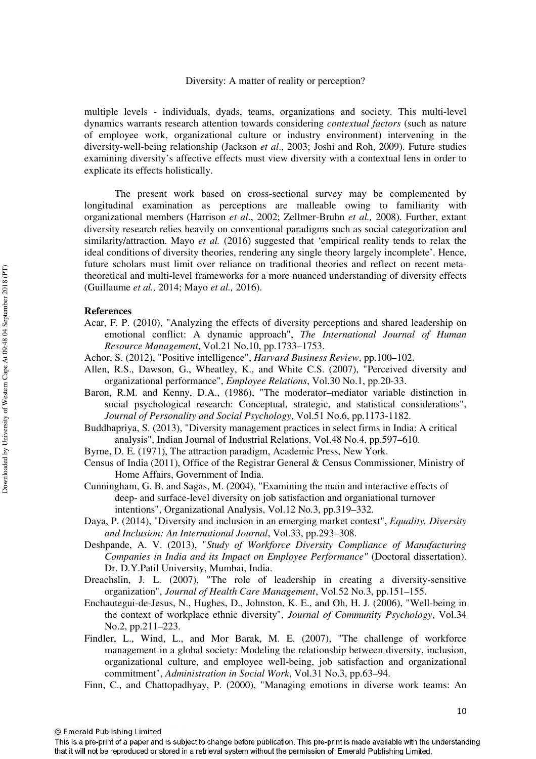multiple levels - individuals, dyads, teams, organizations and society. This multi-level dynamics warrants research attention towards considering *contextual factors* (such as nature of employee work, organizational culture or industry environment) intervening in the diversity-well-being relationship (Jackson *et al*., 2003; Joshi and Roh, 2009). Future studies examining diversity's affective effects must view diversity with a contextual lens in order to explicate its effects holistically.

The present work based on cross-sectional survey may be complemented by longitudinal examination as perceptions are malleable owing to familiarity with organizational members (Harrison *et al*., 2002; Zellmer-Bruhn *et al.,* 2008). Further, extant diversity research relies heavily on conventional paradigms such as social categorization and similarity/attraction. Mayo *et al.* (2016) suggested that 'empirical reality tends to relax the ideal conditions of diversity theories, rendering any single theory largely incomplete'. Hence, future scholars must limit over reliance on traditional theories and reflect on recent metatheoretical and multi-level frameworks for a more nuanced understanding of diversity effects (Guillaume *et al.,* 2014; Mayo *et al.,* 2016).

# **References**

- Acar, F. P. (2010), "Analyzing the effects of diversity perceptions and shared leadership on emotional conflict: A dynamic approach", *The International Journal of Human Resource Management*, Vol.21 No.10, pp.1733–1753.
- Achor, S. (2012), "Positive intelligence", *Harvard Business Review*, pp.100–102.
- Allen, R.S., Dawson, G., Wheatley, K., and White C.S. (2007), "Perceived diversity and organizational performance", *Employee Relations*, Vol.30 No.1, pp.20-33.
- Baron, R.M. and Kenny, D.A., (1986), "The moderator–mediator variable distinction in social psychological research: Conceptual, strategic, and statistical considerations", *Journal of Personality and Social Psychology*, Vol.51 No.6, pp.1173-1182.
- Buddhapriya, S. (2013), "Diversity management practices in select firms in India: A critical analysis", Indian Journal of Industrial Relations, Vol.48 No.4, pp.597–610.
- Byrne, D. E. (1971), The attraction paradigm, Academic Press, New York.
- Census of India (2011), Office of the Registrar General & Census Commissioner, Ministry of Home Affairs, Government of India.
- Cunningham, G. B. and Sagas, M. (2004), "Examining the main and interactive effects of deep- and surface-level diversity on job satisfaction and organiational turnover intentions", Organizational Analysis, Vol.12 No.3, pp.319–332.
- Daya, P. (2014), "Diversity and inclusion in an emerging market context", *Equality, Diversity and Inclusion: An International Journal*, Vol.33, pp.293–308.
- Deshpande, A. V. (2013), "*Study of Workforce Diversity Compliance of Manufacturing Companies in India and its Impact on Employee Performance"* (Doctoral dissertation). Dr. D.Y.Patil University, Mumbai, India.

Dreachslin, J. L. (2007), "The role of leadership in creating a diversity-sensitive organization", *Journal of Health Care Management*, Vol.52 No.3, pp.151–155.

- Enchautegui-de-Jesus, N., Hughes, D., Johnston, K. E., and Oh, H. J. (2006), "Well-being in the context of workplace ethnic diversity", *Journal of Community Psychology*, Vol.34 No.2, pp.211–223.
- Findler, L., Wind, L., and Mor Barak, M. E. (2007), "The challenge of workforce management in a global society: Modeling the relationship between diversity, inclusion, organizational culture, and employee well-being, job satisfaction and organizational commitment", *Administration in Social Work*, Vol.31 No.3, pp.63–94.
- Finn, C., and Chattopadhyay, P. (2000), "Managing emotions in diverse work teams: An

© Emerald Publishing Limited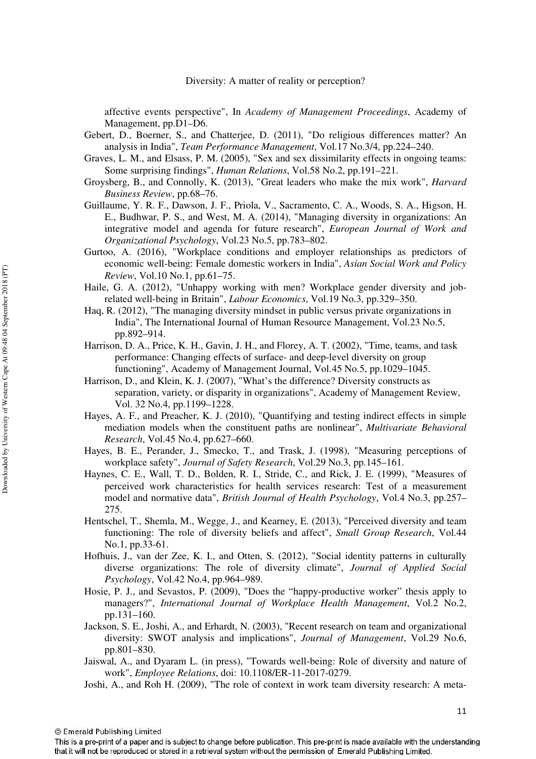affective events perspective", In *Academy of Management Proceedings*, Academy of Management, pp.D1–D6.

- Gebert, D., Boerner, S., and Chatterjee, D. (2011), "Do religious differences matter? An analysis in India", *Team Performance Management*, Vol.17 No.3/4, pp.224–240.
- Graves, L. M., and Elsass, P. M. (2005), "Sex and sex dissimilarity effects in ongoing teams: Some surprising findings", *Human Relations*, Vol.58 No.2, pp.191–221.
- Groysberg, B., and Connolly, K. (2013), "Great leaders who make the mix work", *Harvard Business Review*, pp.68–76.
- Guillaume, Y. R. F., Dawson, J. F., Priola, V., Sacramento, C. A., Woods, S. A., Higson, H. E., Budhwar, P. S., and West, M. A. (2014), "Managing diversity in organizations: An integrative model and agenda for future research", *European Journal of Work and Organizational Psychology*, Vol.23 No.5, pp.783–802.
- Gurtoo, A. (2016), "Workplace conditions and employer relationships as predictors of economic well-being: Female domestic workers in India", *Asian Social Work and Policy Review*, Vol.10 No.1, pp.61–75.
- Haile, G. A. (2012), "Unhappy working with men? Workplace gender diversity and jobrelated well-being in Britain", *Labour Economics*, Vol.19 No.3, pp.329–350.
- Haq, R. (2012), "The managing diversity mindset in public versus private organizations in India", The International Journal of Human Resource Management, Vol.23 No.5, pp.892–914.
- Harrison, D. A., Price, K. H., Gavin, J. H., and Florey, A. T. (2002), "Time, teams, and task performance: Changing effects of surface- and deep-level diversity on group functioning", Academy of Management Journal, Vol.45 No.5, pp.1029–1045.
- Harrison, D., and Klein, K. J. (2007), "What's the difference? Diversity constructs as separation, variety, or disparity in organizations", Academy of Management Review, Vol. 32 No.4, pp.1199–1228.
- Hayes, A. F., and Preacher, K. J. (2010), "Quantifying and testing indirect effects in simple mediation models when the constituent paths are nonlinear", *Multivariate Behavioral Research*, Vol.45 No.4, pp.627–660.
- Hayes, B. E., Perander, J., Smecko, T., and Trask, J. (1998), "Measuring perceptions of workplace safety", *Journal of Safety Research*, Vol.29 No.3, pp.145–161.
- Haynes, C. E., Wall, T. D., Bolden, R. I., Stride, C., and Rick, J. E. (1999), "Measures of perceived work characteristics for health services research: Test of a measurement model and normative data", *British Journal of Health Psychology*, Vol.4 No.3, pp.257– 275.
- Hentschel, T., Shemla, M., Wegge, J., and Kearney, E. (2013), "Perceived diversity and team functioning: The role of diversity beliefs and affect", *Small Group Research*, Vol.44 No.1, pp.33-61.
- Hofhuis, J., van der Zee, K. I., and Otten, S. (2012), "Social identity patterns in culturally diverse organizations: The role of diversity climate", *Journal of Applied Social Psychology*, Vol.42 No.4, pp.964–989.
- Hosie, P. J., and Sevastos, P. (2009), "Does the "happy-productive worker" thesis apply to managers?", *International Journal of Workplace Health Management*, Vol.2 No.2, pp.131–160.
- Jackson, S. E., Joshi, A., and Erhardt, N. (2003), "Recent research on team and organizational diversity: SWOT analysis and implications", *Journal of Management*, Vol.29 No.6, pp.801–830.
- Jaiswal, A., and Dyaram L. (in press), "Towards well-being: Role of diversity and nature of work", *Employee Relations*, doi: 10.1108/ER-11-2017-0279.
- Joshi, A., and Roh H. (2009), "The role of context in work team diversity research: A meta-

© Emerald Publishing Limited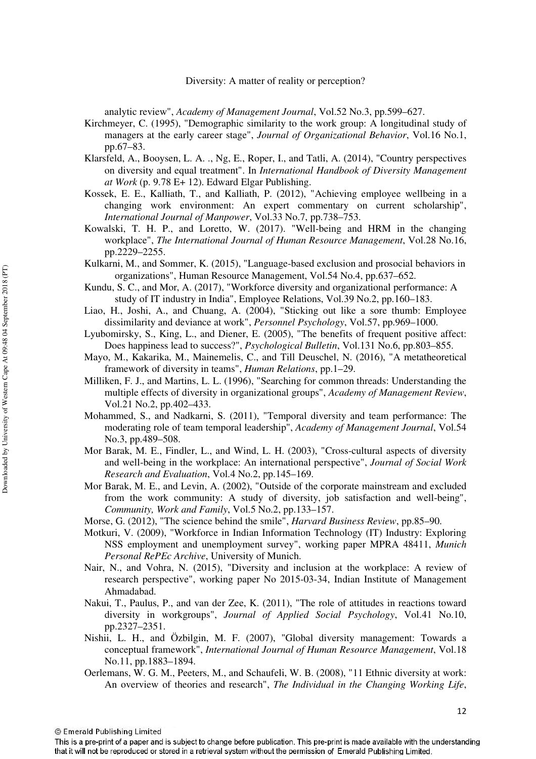analytic review", *Academy of Management Journal*, Vol.52 No.3, pp.599–627.

- Kirchmeyer, C. (1995), "Demographic similarity to the work group: A longitudinal study of managers at the early career stage", *Journal of Organizational Behavior*, Vol.16 No.1, pp.67–83.
- Klarsfeld, A., Booysen, L. A. ., Ng, E., Roper, I., and Tatli, A. (2014), "Country perspectives on diversity and equal treatment". In *International Handbook of Diversity Management at Work* (p. 9.78 E+ 12). Edward Elgar Publishing.
- Kossek, E. E., Kalliath, T., and Kalliath, P. (2012), "Achieving employee wellbeing in a changing work environment: An expert commentary on current scholarship", *International Journal of Manpower*, Vol.33 No.7, pp.738–753.
- Kowalski, T. H. P., and Loretto, W. (2017). "Well-being and HRM in the changing workplace", *The International Journal of Human Resource Management*, Vol.28 No.16, pp.2229–2255.
- Kulkarni, M., and Sommer, K. (2015), "Language-based exclusion and prosocial behaviors in organizations", Human Resource Management, Vol.54 No.4, pp.637–652.
- Kundu, S. C., and Mor, A. (2017), "Workforce diversity and organizational performance: A study of IT industry in India", Employee Relations, Vol.39 No.2, pp.160–183.
- Liao, H., Joshi, A., and Chuang, A. (2004), "Sticking out like a sore thumb: Employee dissimilarity and deviance at work", *Personnel Psychology*, Vol.57, pp.969–1000.
- Lyubomirsky, S., King, L., and Diener, E. (2005), "The benefits of frequent positive affect: Does happiness lead to success?", *Psychological Bulletin*, Vol.131 No.6, pp.803–855.
- Mayo, M., Kakarika, M., Mainemelis, C., and Till Deuschel, N. (2016), "A metatheoretical framework of diversity in teams", *Human Relations*, pp.1–29.
- Milliken, F. J., and Martins, L. L. (1996), "Searching for common threads: Understanding the multiple effects of diversity in organizational groups", *Academy of Management Review*, Vol.21 No.2, pp.402–433.
- Mohammed, S., and Nadkarni, S. (2011), "Temporal diversity and team performance: The moderating role of team temporal leadership", *Academy of Management Journal*, Vol.54 No.3, pp.489–508.
- Mor Barak, M. E., Findler, L., and Wind, L. H. (2003), "Cross-cultural aspects of diversity and well-being in the workplace: An international perspective", *Journal of Social Work Research and Evaluation*, Vol.4 No.2, pp.145–169.
- Mor Barak, M. E., and Levin, A. (2002), "Outside of the corporate mainstream and excluded from the work community: A study of diversity, job satisfaction and well-being", *Community, Work and Family*, Vol.5 No.2, pp.133–157.
- Morse, G. (2012), "The science behind the smile", *Harvard Business Review*, pp.85–90.
- Motkuri, V. (2009), "Workforce in Indian Information Technology (IT) Industry: Exploring NSS employment and unemployment survey", working paper MPRA 48411, *Munich Personal RePEc Archive*, University of Munich.
- Nair, N., and Vohra, N. (2015), "Diversity and inclusion at the workplace: A review of research perspective", working paper No 2015-03-34, Indian Institute of Management Ahmadabad.
- Nakui, T., Paulus, P., and van der Zee, K. (2011), "The role of attitudes in reactions toward diversity in workgroups", *Journal of Applied Social Psychology*, Vol.41 No.10, pp.2327–2351.
- Nishii, L. H., and Özbilgin, M. F. (2007), "Global diversity management: Towards a conceptual framework", *International Journal of Human Resource Management*, Vol.18 No.11, pp.1883–1894.
- Oerlemans, W. G. M., Peeters, M., and Schaufeli, W. B. (2008), "11 Ethnic diversity at work: An overview of theories and research", *The Individual in the Changing Working Life*,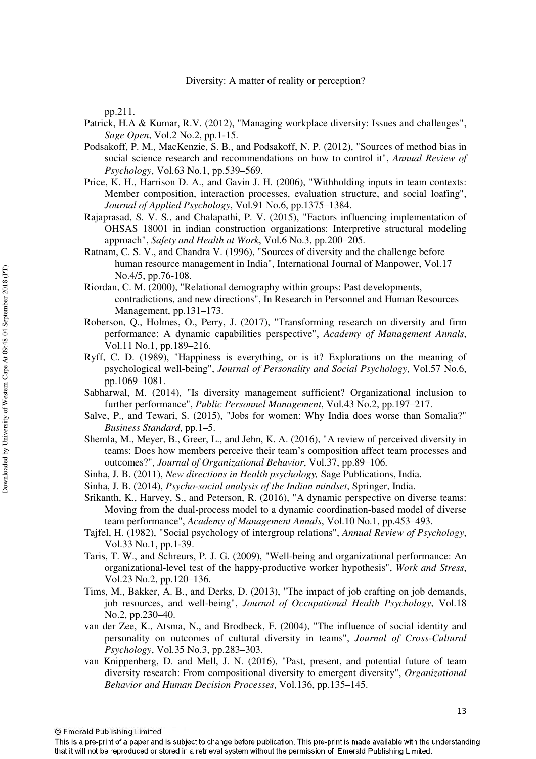pp.211.

- Patrick, H.A & Kumar, R.V. (2012), "Managing workplace diversity: Issues and challenges", *Sage Open*, Vol.2 No.2, pp.1-15.
- Podsakoff, P. M., MacKenzie, S. B., and Podsakoff, N. P. (2012), "Sources of method bias in social science research and recommendations on how to control it", *Annual Review of Psychology*, Vol.63 No.1, pp.539–569.
- Price, K. H., Harrison D. A., and Gavin J. H. (2006), "Withholding inputs in team contexts: Member composition, interaction processes, evaluation structure, and social loafing", *Journal of Applied Psychology*, Vol.91 No.6, pp.1375–1384.
- Rajaprasad, S. V. S., and Chalapathi, P. V. (2015), "Factors influencing implementation of OHSAS 18001 in indian construction organizations: Interpretive structural modeling approach", *Safety and Health at Work*, Vol.6 No.3, pp.200–205.
- Ratnam, C. S. V., and Chandra V. (1996), "Sources of diversity and the challenge before human resource management in India", International Journal of Manpower, Vol.17 No.4/5, pp.76-108.
- Riordan, C. M. (2000), "Relational demography within groups: Past developments, contradictions, and new directions", In Research in Personnel and Human Resources Management, pp.131–173.
- Roberson, Q., Holmes, O., Perry, J. (2017), "Transforming research on diversity and firm performance: A dynamic capabilities perspective", *Academy of Management Annals*, Vol.11 No.1, pp.189–216.
- Ryff, C. D. (1989), "Happiness is everything, or is it? Explorations on the meaning of psychological well-being", *Journal of Personality and Social Psychology*, Vol.57 No.6, pp.1069–1081.
- Sabharwal, M. (2014), "Is diversity management sufficient? Organizational inclusion to further performance", *Public Personnel Management*, Vol.43 No.2, pp.197–217.
- Salve, P., and Tewari, S. (2015), "Jobs for women: Why India does worse than Somalia?" *Business Standard*, pp.1–5.
- Shemla, M., Meyer, B., Greer, L., and Jehn, K. A. (2016), "A review of perceived diversity in teams: Does how members perceive their team's composition affect team processes and outcomes?", *Journal of Organizational Behavior*, Vol.37, pp.89–106.
- Sinha, J. B. (2011), *New directions in Health psychology,* Sage Publications, India.
- Sinha, J. B. (2014), *Psycho-social analysis of the Indian mindset*, Springer, India.
- Srikanth, K., Harvey, S., and Peterson, R. (2016), "A dynamic perspective on diverse teams: Moving from the dual-process model to a dynamic coordination-based model of diverse team performance", *Academy of Management Annals*, Vol.10 No.1, pp.453–493.
- Tajfel, H. (1982), "Social psychology of intergroup relations", *Annual Review of Psychology*, Vol.33 No.1, pp.1-39.
- Taris, T. W., and Schreurs, P. J. G. (2009), "Well-being and organizational performance: An organizational-level test of the happy-productive worker hypothesis", *Work and Stress*, Vol.23 No.2, pp.120–136.
- Tims, M., Bakker, A. B., and Derks, D. (2013), "The impact of job crafting on job demands, job resources, and well-being", *Journal of Occupational Health Psychology*, Vol.18 No.2, pp.230–40.
- van der Zee, K., Atsma, N., and Brodbeck, F. (2004), "The influence of social identity and personality on outcomes of cultural diversity in teams", *Journal of Cross-Cultural Psychology*, Vol.35 No.3, pp.283–303.
- van Knippenberg, D. and Mell, J. N. (2016), "Past, present, and potential future of team diversity research: From compositional diversity to emergent diversity", *Organizational Behavior and Human Decision Processes*, Vol.136, pp.135–145.

© Emerald Publishing Limited

Downloaded by University of Western Cape At 09:48 04 September 2018 (PT) Downloaded by University of Western Cape At 09:48 04 September 2018 (PT)

This is a pre-print of a paper and is subject to change before publication. This pre-print is made available with the understanding that it will not be reproduced or stored in a retrieval system without the permission of Emerald Publishing Limited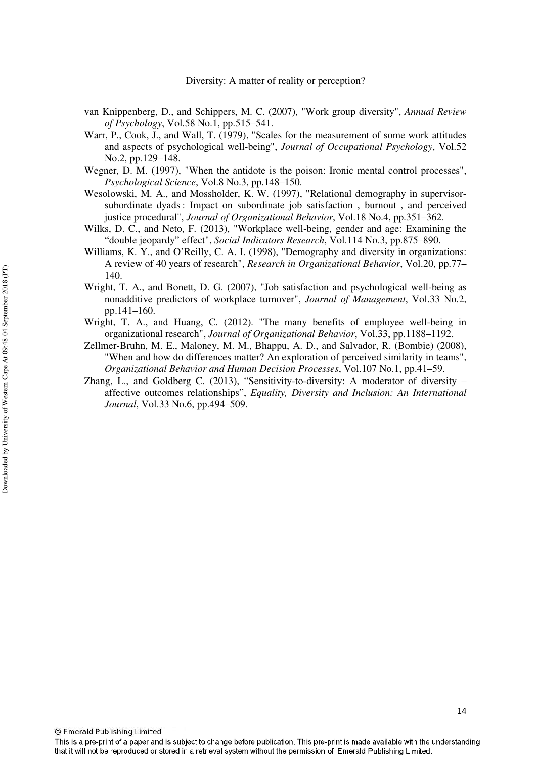- van Knippenberg, D., and Schippers, M. C. (2007), "Work group diversity", *Annual Review of Psychology*, Vol.58 No.1, pp.515–541.
- Warr, P., Cook, J., and Wall, T. (1979), "Scales for the measurement of some work attitudes and aspects of psychological well-being", *Journal of Occupational Psychology*, Vol.52 No.2, pp.129–148.
- Wegner, D. M. (1997), "When the antidote is the poison: Ironic mental control processes", *Psychological Science*, Vol.8 No.3, pp.148–150.
- Wesolowski, M. A., and Mossholder, K. W. (1997), "Relational demography in supervisorsubordinate dyads : Impact on subordinate job satisfaction , burnout , and perceived justice procedural", *Journal of Organizational Behavior*, Vol.18 No.4, pp.351–362.
- Wilks, D. C., and Neto, F. (2013), "Workplace well-being, gender and age: Examining the "double jeopardy" effect", *Social Indicators Research*, Vol.114 No.3, pp.875–890.
- Williams, K. Y., and O'Reilly, C. A. I. (1998), "Demography and diversity in organizations: A review of 40 years of research", *Research in Organizational Behavior*, Vol.20, pp.77– 140.
- Wright, T. A., and Bonett, D. G. (2007), "Job satisfaction and psychological well-being as nonadditive predictors of workplace turnover", *Journal of Management*, Vol.33 No.2, pp.141–160.
- Wright, T. A., and Huang, C. (2012). "The many benefits of employee well-being in organizational research", *Journal of Organizational Behavior*, Vol.33, pp.1188–1192.
- Zellmer-Bruhn, M. E., Maloney, M. M., Bhappu, A. D., and Salvador, R. (Bombie) (2008), "When and how do differences matter? An exploration of perceived similarity in teams", *Organizational Behavior and Human Decision Processes*, Vol.107 No.1, pp.41–59.
- Zhang, L., and Goldberg C. (2013), "Sensitivity-to-diversity: A moderator of diversity affective outcomes relationships", *Equality, Diversity and Inclusion: An International Journal*, Vol.33 No.6, pp.494–509.

© Emerald Publishing Limited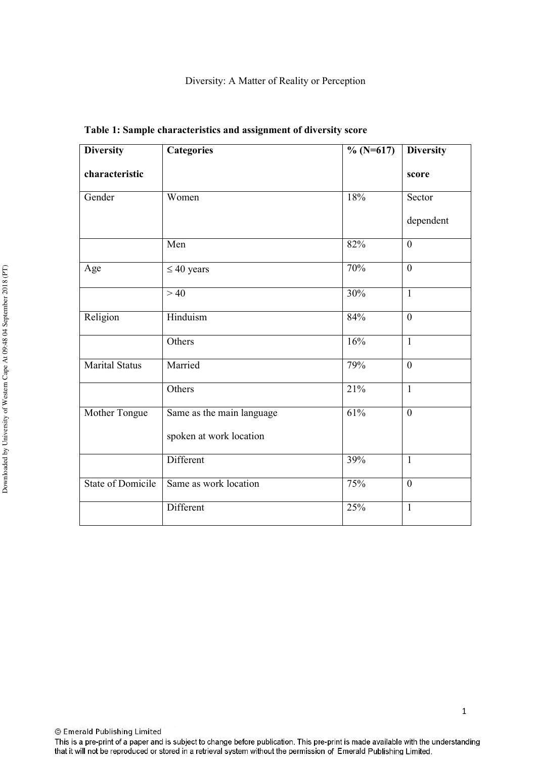| <b>Diversity</b>         | <b>Categories</b>                                    | $\%$ (N=617) | <b>Diversity</b> |
|--------------------------|------------------------------------------------------|--------------|------------------|
| characteristic           |                                                      |              | score            |
| Gender                   | Women                                                | 18%          | Sector           |
|                          |                                                      |              | dependent        |
|                          | Men                                                  | 82%          | $\mathbf{0}$     |
| Age                      | $\leq 40$ years                                      | 70%          | $\overline{0}$   |
|                          | >40                                                  | 30%          | $\overline{1}$   |
| Religion                 | Hinduism                                             | 84%          | $\overline{0}$   |
|                          | Others                                               | 16%          | $\mathbf{1}$     |
| <b>Marital Status</b>    | Married                                              | 79%          | $\theta$         |
|                          | Others                                               | 21%          | $\mathbf{1}$     |
| Mother Tongue            | Same as the main language<br>spoken at work location | 61%          | $\boldsymbol{0}$ |
|                          | Different                                            | 39%          | $\mathbf{1}$     |
| <b>State of Domicile</b> | Same as work location                                | 75%          | $\boldsymbol{0}$ |
|                          | Different                                            | 25%          | $\mathbf{1}$     |

Table 1: Sample characteristics and assignment of diversity score

1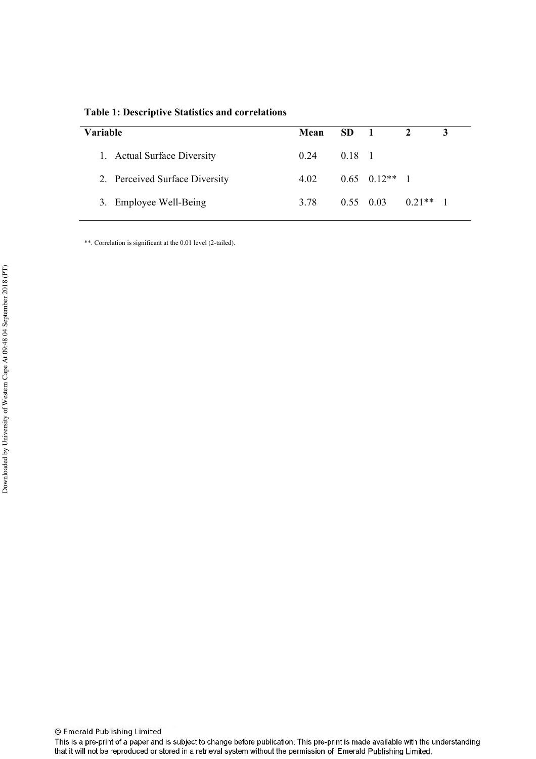| Variable                       | Mean | $SD \quad 1$      |                   |             |  |
|--------------------------------|------|-------------------|-------------------|-------------|--|
| 1. Actual Surface Diversity    | 0.24 | 0.18 1            |                   |             |  |
| 2. Perceived Surface Diversity | 4.02 |                   | $0.65$ $0.12**$ 1 |             |  |
| 3. Employee Well-Being         | 3.78 | $0.55 \quad 0.03$ |                   | $0.21***$ 1 |  |

Table 1: Descriptive Statistics and correlations

\*\*. Correlation is significant at the 0.01 level (2-tailed).

This is a pre-print of a paper and is subject to change before publication. This pre-print is made available with the understanding that it will not be reproduced or stored in a retrieval system without the permission of Emerald Publishing Limited.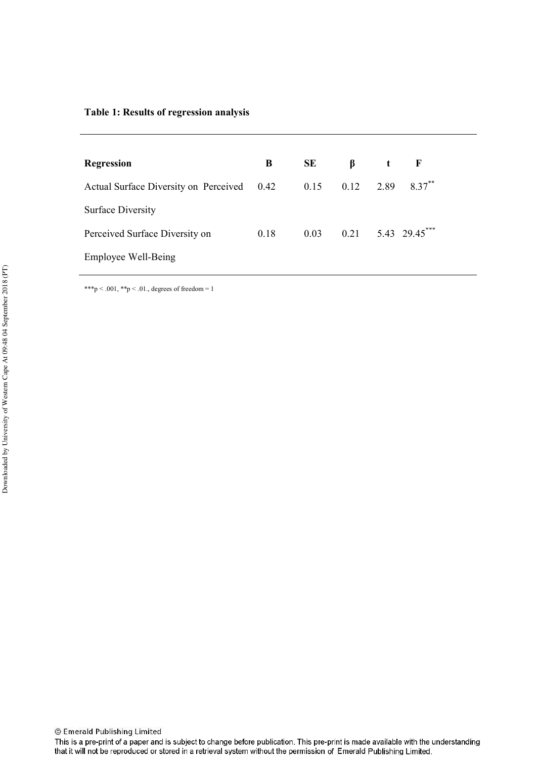| B    | SE   | $\beta$ |      | - F                                                 |
|------|------|---------|------|-----------------------------------------------------|
| 0.42 | 0.15 |         |      | $8.37***$                                           |
|      |      |         |      |                                                     |
| 0.18 |      |         |      |                                                     |
|      |      |         |      |                                                     |
|      |      |         | 0.03 | $\mathbf{t}$<br>$0.12$ 2.89<br>$0.21$ 5.43 29.45*** |

\*\*\*p < .001, \*\*p < .01., degrees of freedom = 1

This is a pre-print of a paper and is subject to change before publication. This pre-print is made available with the understanding that it will not be reproduced or stored in a retrieval system without the permission of Emerald Publishing Limited.